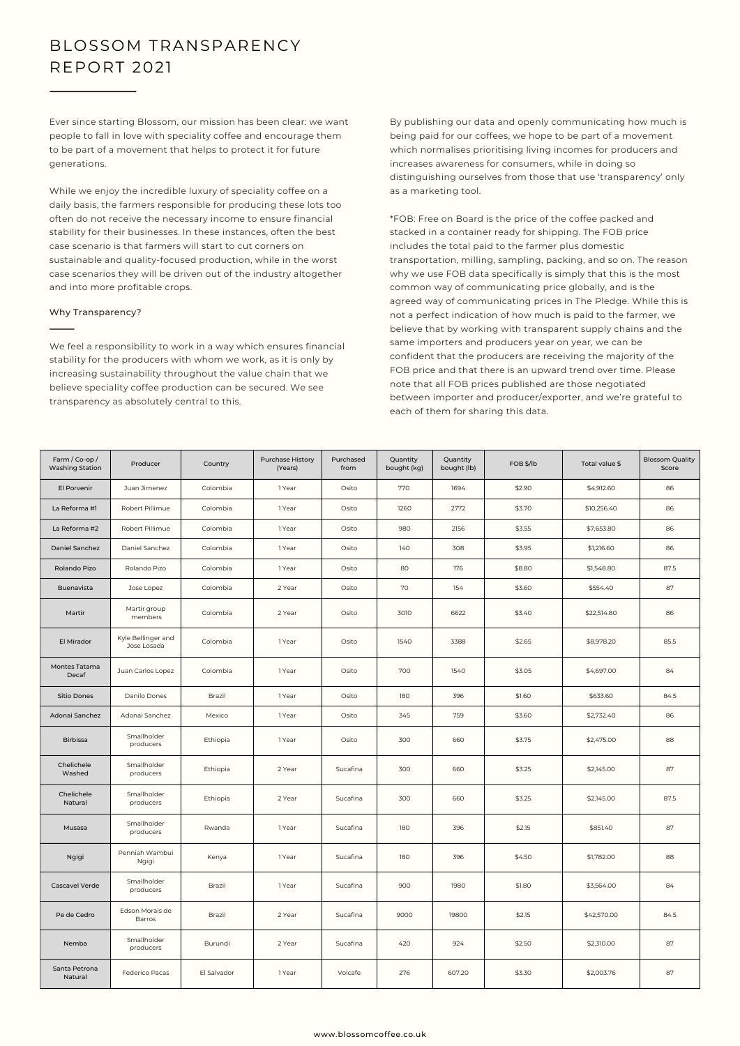## BLOSSOM TRANSPARENCY REPORT 2021

Ever since starting Blossom, our mission has been clear: we want people to fall in love with speciality coffee and encourage them to be part of a movement that helps to protect it for future generations.

While we enjoy the incredible luxury of speciality coffee on a daily basis, the farmers responsible for producing these lots too often do not receive the necessary income to ensure financial stability for their businesses. In these instances, often the best case scenario is that farmers will start to cut corners on sustainable and quality-focused production, while in the worst case scenarios they will be driven out of the industry altogether and into more profitable crops.

## Why Transparency?

We feel a responsibility to work in a way which ensures financial stability for the producers with whom we work, as it is only by increasing sustainability throughout the value chain that we believe speciality coffee production can be secured. We see transparency as absolutely central to this.

By publishing our data and openly communicating how much is being paid for our coffees, we hope to be part of a movement which normalises prioritising living incomes for producers and increases awareness for consumers, while in doing so distinguishing ourselves from those that use 'transparency' only as a marketing tool.

\*FOB: Free on Board is the price of the coffee packed and stacked in a container ready for shipping. The FOB price includes the total paid to the farmer plus domestic transportation, milling, sampling, packing, and so on. The reason why we use FOB data specifically is simply that this is the most common way of communicating price globally, and is the agreed way of communicating prices in The Pledge. While this is not a perfect indication of how much is paid to the farmer, we believe that by working with transparent supply chains and the same importers and producers year on year, we can be confident that the producers are receiving the majority of the FOB price and that there is an upward trend over time. Please note that all FOB prices published are those negotiated between importer and producer/exporter, and we're grateful to each of them for sharing this data.

| Farm / Co-op /<br><b>Washing Station</b> | Producer                          | Country     | <b>Purchase History</b><br>(Years) | Purchased<br>from | Quantity<br>bought (kg) | Quantity<br>bought (lb) | FOB \$/lb | Total value \$ | <b>Blossom Quality</b><br>Score |
|------------------------------------------|-----------------------------------|-------------|------------------------------------|-------------------|-------------------------|-------------------------|-----------|----------------|---------------------------------|
| El Porvenir                              | Juan Jimenez                      | Colombia    | 1 Year                             | Osito             | 770                     | 1694                    | \$2.90    | \$4,912.60     | 86                              |
| La Reforma #1                            | Robert Pillimue                   | Colombia    | 1 Year                             | Osito             | 1260                    | 2772                    | \$3.70    | \$10,256.40    | 86                              |
| La Reforma #2                            | Robert Pillimue                   | Colombia    | 1 Year                             | Osito             | 980                     | 2156                    | \$3.55    | \$7,653.80     | 86                              |
| Daniel Sanchez                           | Daniel Sanchez                    | Colombia    | 1 Year                             | Osito             | 140                     | 308                     | \$3.95    | \$1,216.60     | 86                              |
| Rolando Pizo                             | Rolando Pizo                      | Colombia    | 1 Year                             | Osito             | 80                      | 176                     | \$8.80    | \$1,548.80     | 87.5                            |
| Buenavista                               | Jose Lopez                        | Colombia    | 2 Year                             | Osito             | 70                      | 154                     | \$3.60    | \$554.40       | 87                              |
| Martir                                   | Martir group<br>members           | Colombia    | 2 Year                             | Osito             | 3010                    | 6622                    | \$3.40    | \$22,514.80    | 86                              |
| El Mirador                               | Kyle Bellinger and<br>Jose Losada | Colombia    | 1 Year                             | Osito             | 1540                    | 3388                    | \$2.65    | \$8,978.20     | 85.5                            |
| Montes Tatama<br>Decaf                   | Juan Carlos Lopez                 | Colombia    | 1 Year                             | Osito             | 700                     | 1540                    | \$3.05    | \$4,697.00     | 84                              |
| Sitio Dones                              | Danilo Dones                      | Brazil      | 1 Year                             | Osito             | 180                     | 396                     | \$1.60    | \$633.60       | 84.5                            |
| Adonai Sanchez                           | Adonai Sanchez                    | Mexico      | 1 Year                             | Osito             | 345                     | 759                     | \$3.60    | \$2,732.40     | 86                              |
| Birbissa                                 | Smallholder<br>producers          | Ethiopia    | 1 Year                             | Osito             | 300                     | 660                     | \$3.75    | \$2,475.00     | 88                              |
| Chelichele<br>Washed                     | Smallholder<br>producers          | Ethiopia    | 2 Year                             | Sucafina          | 300                     | 660                     | \$3.25    | \$2,145.00     | 87                              |
| Chelichele<br>Natural                    | Smallholder<br>producers          | Ethiopia    | 2 Year                             | Sucafina          | 300                     | 660                     | \$3.25    | \$2,145.00     | 87.5                            |
| Musasa                                   | Smallholder<br>producers          | Rwanda      | 1 Year                             | Sucafina          | 180                     | 396                     | \$2.15    | \$851.40       | 87                              |
| Ngigi                                    | Penniah Wambui<br>Ngigi           | Kenya       | 1 Year                             | Sucafina          | 180                     | 396                     | \$4.50    | \$1,782.00     | 88                              |
| <b>Cascavel Verde</b>                    | Smallholder<br>producers          | Brazil      | 1 Year                             | Sucafina          | 900                     | 1980                    | \$1.80    | \$3,564.00     | 84                              |
| Pe de Cedro                              | Edson Morais de<br>Barros         | Brazil      | 2 Year                             | Sucafina          | 9000                    | 19800                   | \$2.15    | \$42,570.00    | 84.5                            |
| Nemba                                    | Smallholder<br>producers          | Burundi     | 2 Year                             | Sucafina          | 420                     | 924                     | \$2.50    | \$2,310.00     | 87                              |
| Santa Petrona<br>Natural                 | Federico Pacas                    | El Salvador | 1 Year                             | Volcafe           | 276                     | 607.20                  | \$3.30    | \$2,003.76     | 87                              |